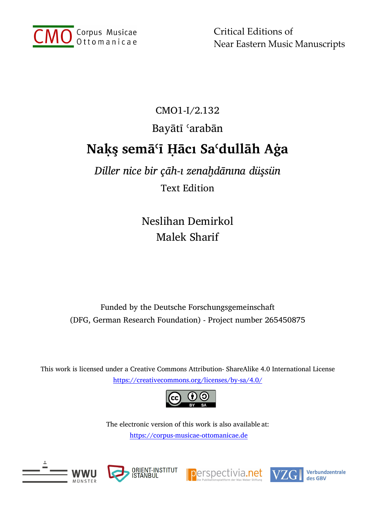

Critical Editions of Near Eastern Music Manuscripts

## CMO1-I/2.132 Bayātī ʿarabān **Naḳş semāʿī Ḥācı Saʿdullāh Aġa**

*Diller nice bir çāh-ı zenaḫdānına düşsün* Text Edition

> Neslihan Demirkol Malek Sharif

Funded by the Deutsche Forschungsgemeinschaft (DFG, German Research Foundation) - Project number 265450875

This work is licensed under a Creative Commons Attribution- ShareAlike 4.0 International License [https://creativecommons.org/licenses/by](http://creativecommons.org/licenses/by-nc-sa/4.0.)-sa/4.0/



The electronic version of this work is also available at: https://corpus-musicae-[ottomanicae.de](https://corpus-musicae-ottomanicae.de/)









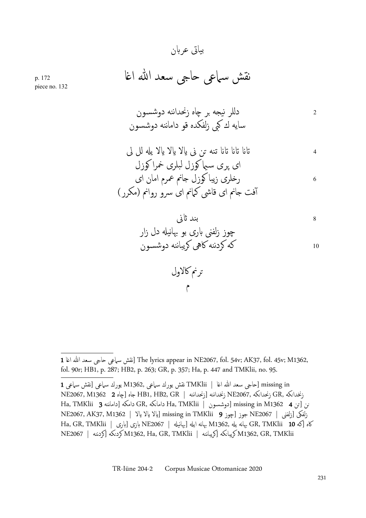## بیاتى عربن

نقش سماعى ˨اݪ سعد الله ا̎ا 172 .p

piece no. 132

<sup>2</sup> دللر نیˤه ˊر Ωاه زنحداننه دوشسون سایه ك كبى زلفكده قو داماننه دوشسون

<sup>4</sup> ԷԵ ԷԵ ԷԵ تنه ˔ن نى Թلا Թلا Թلا یࠁ لل لى اى ʹری سۤ̑ كوزل لبلرى خمرا كوزل <sup>6</sup> ر˭لرى زیبا كوزل جانم عمرم امان اى آفت جانم اى قاشى كمانم اى سرو روانم (مكرر)

<sup>8</sup> بند Զنى چوز زلفنى برى بو بهانیࠁ دل زار <sup>10</sup> كه كردننه كاهى كریباننه دوشسون

˔رنم كالاول م

<sup>1</sup> انقش سباعي حاجي سعد الله اغا [The lyrics appear in NE2067, fol. 54v; AK37, fol. 45v; M1362, fol. 90r; HB1, p. 287; HB2, p. 263; GR, p. 357; Ha, p. 447 and TMKlii, no. 95.

in missing˨] اݪ سعد الله ا̎ا | TMKlii نقش یورك سماعى 1362,M یورك سماعى [نقش سماعى 1 زنخدانكه ,GR زنحدانكه ,NE2067 زنخداننه [ HB1, HB2, GR | جاه [چاه 2 1362 SR 2) KE2067 Ha, TMKlii 3 داماننه [دامكه GR, كه̯داما Ha, TMKlii | دوشسون [missing in M1362 4 ن [˔ن̯ NE2067, AK37, M1362 | | إيالا يالا يالا يالا والا AK37, M1362 | بالا يالا يالا إيالا والا كاه [كه 10 GR, TMKlii 10 بهانه یله NE2067 إبهانه ایله [بهانیله | NE2067 بازى [بارى | Ha, GR, TMKlii NE2067 | كردننه [كه̯كرد M1362, Ha, GR, TMKlii | كریباننه [كه̯كریبا M1362, GR, TMKlii